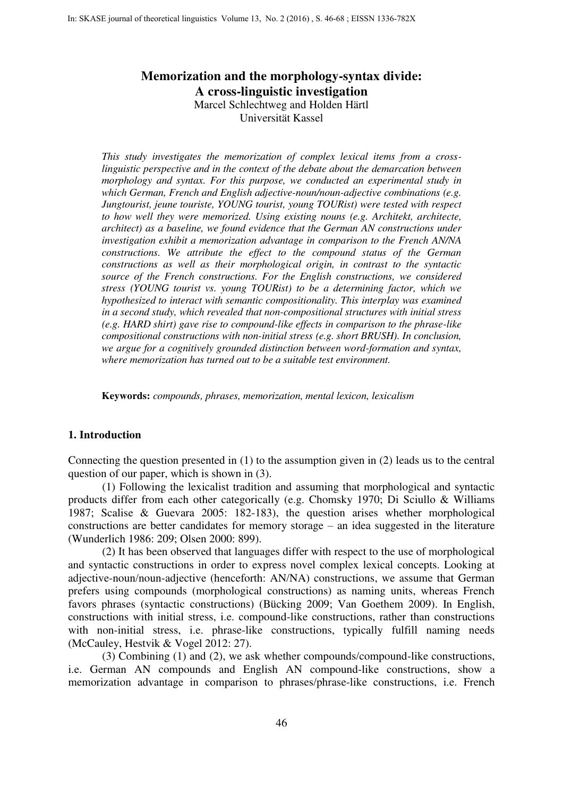# **Memorization and the morphology-syntax divide: A cross-linguistic investigation**  Marcel Schlechtweg and Holden Härtl Universität Kassel

*This study investigates the memorization of complex lexical items from a crosslinguistic perspective and in the context of the debate about the demarcation between morphology and syntax. For this purpose, we conducted an experimental study in which German, French and English adjective-noun/noun-adjective combinations (e.g. Jungtourist, jeune touriste, YOUNG tourist, young TOURist) were tested with respect to how well they were memorized. Using existing nouns (e.g. Architekt, architecte, architect) as a baseline, we found evidence that the German AN constructions under investigation exhibit a memorization advantage in comparison to the French AN/NA constructions. We attribute the effect to the compound status of the German constructions as well as their morphological origin, in contrast to the syntactic source of the French constructions. For the English constructions, we considered stress (YOUNG tourist vs. young TOURist) to be a determining factor, which we hypothesized to interact with semantic compositionality. This interplay was examined in a second study, which revealed that non-compositional structures with initial stress (e.g. HARD shirt) gave rise to compound-like effects in comparison to the phrase-like compositional constructions with non-initial stress (e.g. short BRUSH). In conclusion, we argue for a cognitively grounded distinction between word-formation and syntax, where memorization has turned out to be a suitable test environment.* 

**Keywords:** *compounds, phrases, memorization, mental lexicon, lexicalism* 

# **1. Introduction**

Connecting the question presented in (1) to the assumption given in (2) leads us to the central question of our paper, which is shown in (3).

(1) Following the lexicalist tradition and assuming that morphological and syntactic products differ from each other categorically (e.g. Chomsky 1970; Di Sciullo & Williams 1987; Scalise & Guevara 2005: 182-183), the question arises whether morphological constructions are better candidates for memory storage – an idea suggested in the literature (Wunderlich 1986: 209; Olsen 2000: 899).

(2) It has been observed that languages differ with respect to the use of morphological and syntactic constructions in order to express novel complex lexical concepts. Looking at adjective-noun/noun-adjective (henceforth: AN/NA) constructions, we assume that German prefers using compounds (morphological constructions) as naming units, whereas French favors phrases (syntactic constructions) (Bücking 2009; Van Goethem 2009). In English, constructions with initial stress, i.e. compound-like constructions, rather than constructions with non-initial stress, i.e. phrase-like constructions, typically fulfill naming needs (McCauley, Hestvik & Vogel 2012: 27).

(3) Combining (1) and (2), we ask whether compounds/compound-like constructions, i.e. German AN compounds and English AN compound-like constructions, show a memorization advantage in comparison to phrases/phrase-like constructions, i.e. French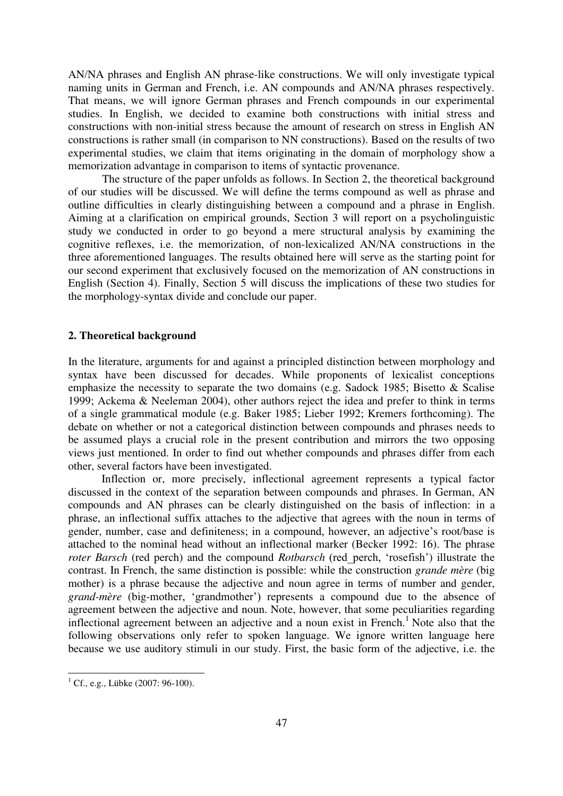AN/NA phrases and English AN phrase-like constructions. We will only investigate typical naming units in German and French, i.e. AN compounds and AN/NA phrases respectively. That means, we will ignore German phrases and French compounds in our experimental studies. In English, we decided to examine both constructions with initial stress and constructions with non-initial stress because the amount of research on stress in English AN constructions is rather small (in comparison to NN constructions). Based on the results of two experimental studies, we claim that items originating in the domain of morphology show a memorization advantage in comparison to items of syntactic provenance.

The structure of the paper unfolds as follows. In Section 2, the theoretical background of our studies will be discussed. We will define the terms compound as well as phrase and outline difficulties in clearly distinguishing between a compound and a phrase in English. Aiming at a clarification on empirical grounds, Section 3 will report on a psycholinguistic study we conducted in order to go beyond a mere structural analysis by examining the cognitive reflexes, i.e. the memorization, of non-lexicalized AN/NA constructions in the three aforementioned languages. The results obtained here will serve as the starting point for our second experiment that exclusively focused on the memorization of AN constructions in English (Section 4). Finally, Section 5 will discuss the implications of these two studies for the morphology-syntax divide and conclude our paper.

## **2. Theoretical background**

In the literature, arguments for and against a principled distinction between morphology and syntax have been discussed for decades. While proponents of lexicalist conceptions emphasize the necessity to separate the two domains (e.g. Sadock 1985; Bisetto & Scalise 1999; Ackema & Neeleman 2004), other authors reject the idea and prefer to think in terms of a single grammatical module (e.g. Baker 1985; Lieber 1992; Kremers forthcoming). The debate on whether or not a categorical distinction between compounds and phrases needs to be assumed plays a crucial role in the present contribution and mirrors the two opposing views just mentioned. In order to find out whether compounds and phrases differ from each other, several factors have been investigated.

Inflection or, more precisely, inflectional agreement represents a typical factor discussed in the context of the separation between compounds and phrases. In German, AN compounds and AN phrases can be clearly distinguished on the basis of inflection: in a phrase, an inflectional suffix attaches to the adjective that agrees with the noun in terms of gender, number, case and definiteness; in a compound, however, an adjective's root/base is attached to the nominal head without an inflectional marker (Becker 1992: 16). The phrase *roter Barsch* (red perch) and the compound *Rotbarsch* (red\_perch, 'rosefish') illustrate the contrast. In French, the same distinction is possible: while the construction *grande mère* (big mother) is a phrase because the adjective and noun agree in terms of number and gender, *grand-mère* (big-mother, 'grandmother') represents a compound due to the absence of agreement between the adjective and noun. Note, however, that some peculiarities regarding inflectional agreement between an adjective and a noun exist in French.<sup>1</sup> Note also that the following observations only refer to spoken language. We ignore written language here because we use auditory stimuli in our study. First, the basic form of the adjective, i.e. the

 $\overline{a}$ 

 $1^1$  Cf., e.g., Lübke (2007: 96-100).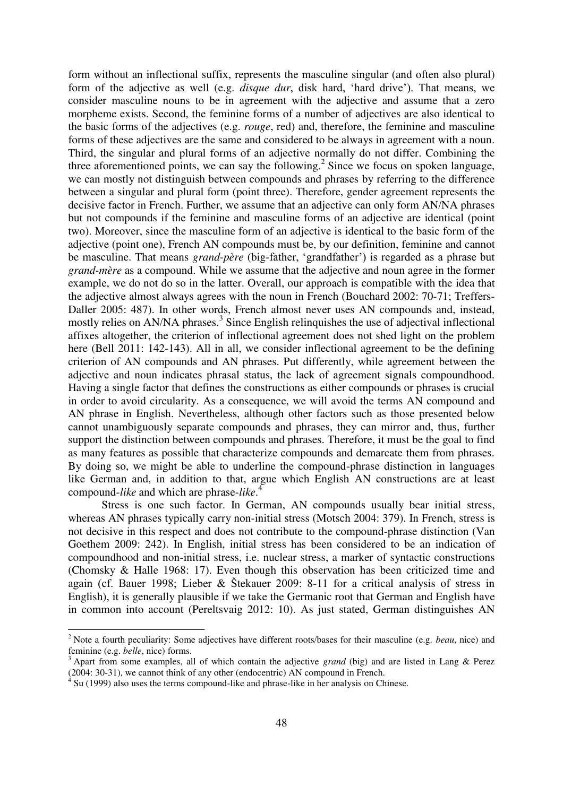form without an inflectional suffix, represents the masculine singular (and often also plural) form of the adjective as well (e.g. *disque dur*, disk hard, 'hard drive'). That means, we consider masculine nouns to be in agreement with the adjective and assume that a zero morpheme exists. Second, the feminine forms of a number of adjectives are also identical to the basic forms of the adjectives (e.g. *rouge*, red) and, therefore, the feminine and masculine forms of these adjectives are the same and considered to be always in agreement with a noun. Third, the singular and plural forms of an adjective normally do not differ. Combining the three aforementioned points, we can say the following.<sup>2</sup> Since we focus on spoken language, we can mostly not distinguish between compounds and phrases by referring to the difference between a singular and plural form (point three). Therefore, gender agreement represents the decisive factor in French. Further, we assume that an adjective can only form AN/NA phrases but not compounds if the feminine and masculine forms of an adjective are identical (point two). Moreover, since the masculine form of an adjective is identical to the basic form of the adjective (point one), French AN compounds must be, by our definition, feminine and cannot be masculine. That means *grand-père* (big-father, 'grandfather') is regarded as a phrase but *grand-mère* as a compound. While we assume that the adjective and noun agree in the former example, we do not do so in the latter. Overall, our approach is compatible with the idea that the adjective almost always agrees with the noun in French (Bouchard 2002: 70-71; Treffers-Daller 2005: 487). In other words, French almost never uses AN compounds and, instead, mostly relies on AN/NA phrases.<sup>3</sup> Since English relinquishes the use of adjectival inflectional affixes altogether, the criterion of inflectional agreement does not shed light on the problem here (Bell 2011: 142-143). All in all, we consider inflectional agreement to be the defining criterion of AN compounds and AN phrases. Put differently, while agreement between the adjective and noun indicates phrasal status, the lack of agreement signals compoundhood. Having a single factor that defines the constructions as either compounds or phrases is crucial in order to avoid circularity. As a consequence, we will avoid the terms AN compound and AN phrase in English. Nevertheless, although other factors such as those presented below cannot unambiguously separate compounds and phrases, they can mirror and, thus, further support the distinction between compounds and phrases. Therefore, it must be the goal to find as many features as possible that characterize compounds and demarcate them from phrases. By doing so, we might be able to underline the compound-phrase distinction in languages like German and, in addition to that, argue which English AN constructions are at least compound-*like* and which are phrase-*like*. 4

Stress is one such factor. In German, AN compounds usually bear initial stress, whereas AN phrases typically carry non-initial stress (Motsch 2004: 379). In French, stress is not decisive in this respect and does not contribute to the compound-phrase distinction (Van Goethem 2009: 242). In English, initial stress has been considered to be an indication of compoundhood and non-initial stress, i.e. nuclear stress, a marker of syntactic constructions (Chomsky & Halle 1968: 17). Even though this observation has been criticized time and again (cf. Bauer 1998; Lieber & Štekauer 2009: 8-11 for a critical analysis of stress in English), it is generally plausible if we take the Germanic root that German and English have in common into account (Pereltsvaig 2012: 10). As just stated, German distinguishes AN

<sup>2</sup> Note a fourth peculiarity: Some adjectives have different roots/bases for their masculine (e.g. *beau*, nice) and feminine (e.g. *belle*, nice) forms.

<sup>&</sup>lt;sup>3</sup> Apart from some examples, all of which contain the adjective *grand* (big) and are listed in Lang & Perez  $(2004: 30-31)$ , we cannot think of any other (endocentric) AN compound in French.

Su (1999) also uses the terms compound-like and phrase-like in her analysis on Chinese.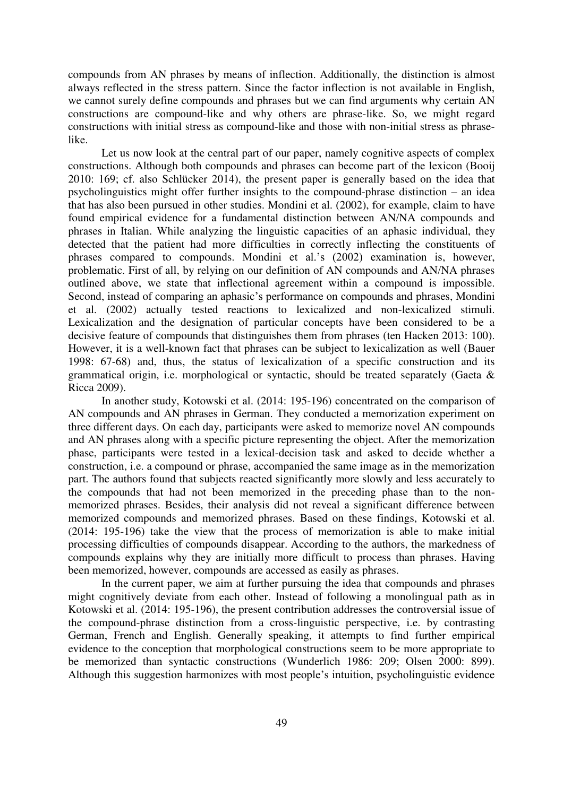compounds from AN phrases by means of inflection. Additionally, the distinction is almost always reflected in the stress pattern. Since the factor inflection is not available in English, we cannot surely define compounds and phrases but we can find arguments why certain AN constructions are compound-like and why others are phrase-like. So, we might regard constructions with initial stress as compound-like and those with non-initial stress as phraselike.

Let us now look at the central part of our paper, namely cognitive aspects of complex constructions. Although both compounds and phrases can become part of the lexicon (Booij 2010: 169; cf. also Schlücker 2014), the present paper is generally based on the idea that psycholinguistics might offer further insights to the compound-phrase distinction – an idea that has also been pursued in other studies. Mondini et al. (2002), for example, claim to have found empirical evidence for a fundamental distinction between AN/NA compounds and phrases in Italian. While analyzing the linguistic capacities of an aphasic individual, they detected that the patient had more difficulties in correctly inflecting the constituents of phrases compared to compounds. Mondini et al.'s (2002) examination is, however, problematic. First of all, by relying on our definition of AN compounds and AN/NA phrases outlined above, we state that inflectional agreement within a compound is impossible. Second, instead of comparing an aphasic's performance on compounds and phrases, Mondini et al. (2002) actually tested reactions to lexicalized and non-lexicalized stimuli. Lexicalization and the designation of particular concepts have been considered to be a decisive feature of compounds that distinguishes them from phrases (ten Hacken 2013: 100). However, it is a well-known fact that phrases can be subject to lexicalization as well (Bauer 1998: 67-68) and, thus, the status of lexicalization of a specific construction and its grammatical origin, i.e. morphological or syntactic, should be treated separately (Gaeta & Ricca 2009).

In another study, Kotowski et al. (2014: 195-196) concentrated on the comparison of AN compounds and AN phrases in German. They conducted a memorization experiment on three different days. On each day, participants were asked to memorize novel AN compounds and AN phrases along with a specific picture representing the object. After the memorization phase, participants were tested in a lexical-decision task and asked to decide whether a construction, i.e. a compound or phrase, accompanied the same image as in the memorization part. The authors found that subjects reacted significantly more slowly and less accurately to the compounds that had not been memorized in the preceding phase than to the nonmemorized phrases. Besides, their analysis did not reveal a significant difference between memorized compounds and memorized phrases. Based on these findings, Kotowski et al. (2014: 195-196) take the view that the process of memorization is able to make initial processing difficulties of compounds disappear. According to the authors, the markedness of compounds explains why they are initially more difficult to process than phrases. Having been memorized, however, compounds are accessed as easily as phrases.

In the current paper, we aim at further pursuing the idea that compounds and phrases might cognitively deviate from each other. Instead of following a monolingual path as in Kotowski et al. (2014: 195-196), the present contribution addresses the controversial issue of the compound-phrase distinction from a cross-linguistic perspective, i.e. by contrasting German, French and English. Generally speaking, it attempts to find further empirical evidence to the conception that morphological constructions seem to be more appropriate to be memorized than syntactic constructions (Wunderlich 1986: 209; Olsen 2000: 899). Although this suggestion harmonizes with most people's intuition, psycholinguistic evidence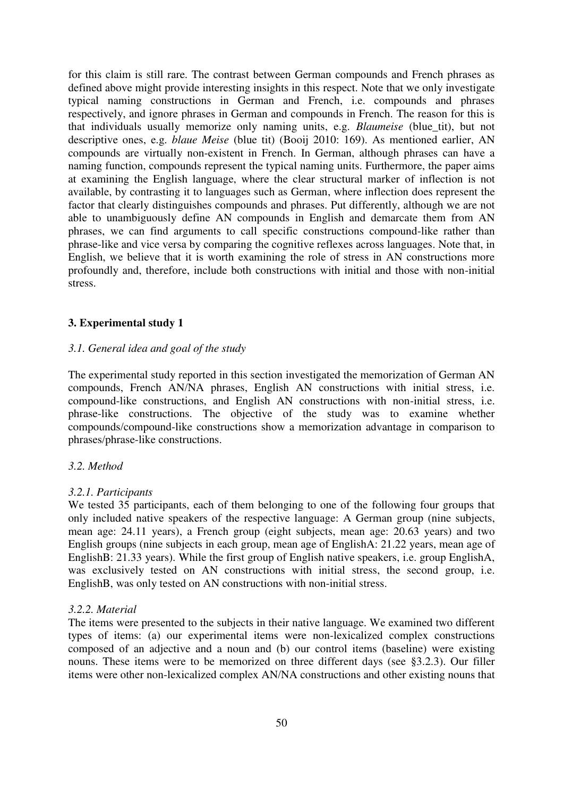for this claim is still rare. The contrast between German compounds and French phrases as defined above might provide interesting insights in this respect. Note that we only investigate typical naming constructions in German and French, i.e. compounds and phrases respectively, and ignore phrases in German and compounds in French. The reason for this is that individuals usually memorize only naming units, e.g. *Blaumeise* (blue\_tit), but not descriptive ones, e.g. *blaue Meise* (blue tit) (Booij 2010: 169). As mentioned earlier, AN compounds are virtually non-existent in French. In German, although phrases can have a naming function, compounds represent the typical naming units. Furthermore, the paper aims at examining the English language, where the clear structural marker of inflection is not available, by contrasting it to languages such as German, where inflection does represent the factor that clearly distinguishes compounds and phrases. Put differently, although we are not able to unambiguously define AN compounds in English and demarcate them from AN phrases, we can find arguments to call specific constructions compound-like rather than phrase-like and vice versa by comparing the cognitive reflexes across languages. Note that, in English, we believe that it is worth examining the role of stress in AN constructions more profoundly and, therefore, include both constructions with initial and those with non-initial stress.

### **3. Experimental study 1**

# *3.1. General idea and goal of the study*

The experimental study reported in this section investigated the memorization of German AN compounds, French AN/NA phrases, English AN constructions with initial stress, i.e. compound-like constructions, and English AN constructions with non-initial stress, i.e. phrase-like constructions. The objective of the study was to examine whether compounds/compound-like constructions show a memorization advantage in comparison to phrases/phrase-like constructions.

# *3.2. Method*

### *3.2.1. Participants*

We tested 35 participants, each of them belonging to one of the following four groups that only included native speakers of the respective language: A German group (nine subjects, mean age: 24.11 years), a French group (eight subjects, mean age: 20.63 years) and two English groups (nine subjects in each group, mean age of EnglishA: 21.22 years, mean age of EnglishB: 21.33 years). While the first group of English native speakers, i.e. group EnglishA, was exclusively tested on AN constructions with initial stress, the second group, i.e. EnglishB, was only tested on AN constructions with non-initial stress.

### *3.2.2. Material*

The items were presented to the subjects in their native language. We examined two different types of items: (a) our experimental items were non-lexicalized complex constructions composed of an adjective and a noun and (b) our control items (baseline) were existing nouns. These items were to be memorized on three different days (see §3.2.3). Our filler items were other non-lexicalized complex AN/NA constructions and other existing nouns that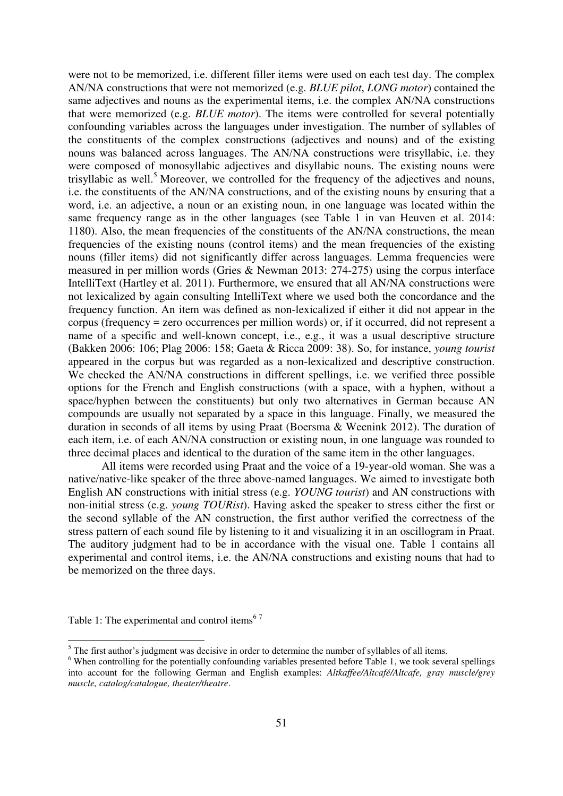were not to be memorized, i.e. different filler items were used on each test day. The complex AN/NA constructions that were not memorized (e.g. *BLUE pilot*, *LONG motor*) contained the same adjectives and nouns as the experimental items, i.e. the complex AN/NA constructions that were memorized (e.g. *BLUE motor*). The items were controlled for several potentially confounding variables across the languages under investigation. The number of syllables of the constituents of the complex constructions (adjectives and nouns) and of the existing nouns was balanced across languages. The AN/NA constructions were trisyllabic, i.e. they were composed of monosyllabic adjectives and disyllabic nouns. The existing nouns were trisyllabic as well.<sup>5</sup> Moreover, we controlled for the frequency of the adjectives and nouns, i.e. the constituents of the AN/NA constructions, and of the existing nouns by ensuring that a word, i.e. an adjective, a noun or an existing noun, in one language was located within the same frequency range as in the other languages (see Table 1 in van Heuven et al. 2014: 1180). Also, the mean frequencies of the constituents of the AN/NA constructions, the mean frequencies of the existing nouns (control items) and the mean frequencies of the existing nouns (filler items) did not significantly differ across languages. Lemma frequencies were measured in per million words (Gries & Newman 2013: 274-275) using the corpus interface IntelliText (Hartley et al. 2011). Furthermore, we ensured that all AN/NA constructions were not lexicalized by again consulting IntelliText where we used both the concordance and the frequency function. An item was defined as non-lexicalized if either it did not appear in the corpus (frequency = zero occurrences per million words) or, if it occurred, did not represent a name of a specific and well-known concept, i.e., e.g., it was a usual descriptive structure (Bakken 2006: 106; Plag 2006: 158; Gaeta & Ricca 2009: 38). So, for instance, *young tourist* appeared in the corpus but was regarded as a non-lexicalized and descriptive construction. We checked the AN/NA constructions in different spellings, i.e. we verified three possible options for the French and English constructions (with a space, with a hyphen, without a space/hyphen between the constituents) but only two alternatives in German because AN compounds are usually not separated by a space in this language. Finally, we measured the duration in seconds of all items by using Praat (Boersma & Weenink 2012). The duration of each item, i.e. of each AN/NA construction or existing noun, in one language was rounded to three decimal places and identical to the duration of the same item in the other languages.

All items were recorded using Praat and the voice of a 19-year-old woman. She was a native/native-like speaker of the three above-named languages. We aimed to investigate both English AN constructions with initial stress (e.g. *YOUNG tourist*) and AN constructions with non-initial stress (e.g. *young TOURist*). Having asked the speaker to stress either the first or the second syllable of the AN construction, the first author verified the correctness of the stress pattern of each sound file by listening to it and visualizing it in an oscillogram in Praat. The auditory judgment had to be in accordance with the visual one. Table 1 contains all experimental and control items, i.e. the AN/NA constructions and existing nouns that had to be memorized on the three days.

Table 1: The experimental and control items<sup>67</sup>

<sup>&</sup>lt;sup>5</sup> The first author's judgment was decisive in order to determine the number of syllables of all items.

 $6$  When controlling for the potentially confounding variables presented before Table 1, we took several spellings into account for the following German and English examples: *Altkaffee/Altcafé/Altcafe, gray muscle/grey muscle, catalog/catalogue, theater/theatre*.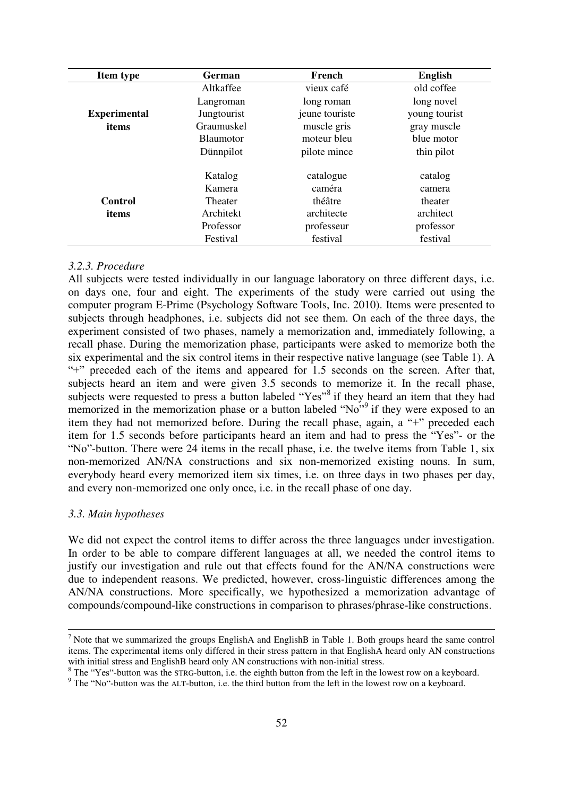| <b>Item type</b>    | <b>German</b>    | French         | <b>English</b> |
|---------------------|------------------|----------------|----------------|
|                     | Altkaffee        | vieux café     | old coffee     |
|                     | Langroman        | long roman     | long novel     |
| <b>Experimental</b> | Jungtourist      | jeune touriste | young tourist  |
| items               | Graumuskel       | muscle gris    | gray muscle    |
|                     | <b>Blaumotor</b> | moteur bleu    | blue motor     |
|                     | Dünnpilot        | pilote mince   | thin pilot     |
|                     |                  |                |                |
|                     | Katalog          | catalogue      | catalog        |
|                     | Kamera           | caméra         | camera         |
| Control             | Theater          | théâtre        | theater        |
| items               | Architekt        | architecte     | architect      |
|                     | Professor        | professeur     | professor      |
|                     | Festival         | festival       | festival       |

# *3.2.3. Procedure*

All subjects were tested individually in our language laboratory on three different days, i.e. on days one, four and eight. The experiments of the study were carried out using the computer program E-Prime (Psychology Software Tools, Inc. 2010). Items were presented to subjects through headphones, i.e. subjects did not see them. On each of the three days, the experiment consisted of two phases, namely a memorization and, immediately following, a recall phase. During the memorization phase, participants were asked to memorize both the six experimental and the six control items in their respective native language (see Table 1). A "+" preceded each of the items and appeared for 1.5 seconds on the screen. After that, subjects heard an item and were given 3.5 seconds to memorize it. In the recall phase, subjects were requested to press a button labeled "Yes"<sup>8</sup> if they heard an item that they had memorized in the memorization phase or a button labeled "No"<sup>9</sup> if they were exposed to an item they had not memorized before. During the recall phase, again, a "+" preceded each item for 1.5 seconds before participants heard an item and had to press the "Yes"- or the "No"-button. There were 24 items in the recall phase, i.e. the twelve items from Table 1, six non-memorized AN/NA constructions and six non-memorized existing nouns. In sum, everybody heard every memorized item six times, i.e. on three days in two phases per day, and every non-memorized one only once, i.e. in the recall phase of one day.

#### *3.3. Main hypotheses*

We did not expect the control items to differ across the three languages under investigation. In order to be able to compare different languages at all, we needed the control items to justify our investigation and rule out that effects found for the AN/NA constructions were due to independent reasons. We predicted, however, cross-linguistic differences among the AN/NA constructions. More specifically, we hypothesized a memorization advantage of compounds/compound-like constructions in comparison to phrases/phrase-like constructions.

<sup>&</sup>lt;sup>7</sup> Note that we summarized the groups EnglishA and EnglishB in Table 1. Both groups heard the same control items. The experimental items only differed in their stress pattern in that EnglishA heard only AN constructions with initial stress and EnglishB heard only AN constructions with non-initial stress.

<sup>&</sup>lt;sup>8</sup> The "Yes"-button was the STRG-button, i.e. the eighth button from the left in the lowest row on a keyboard.

<sup>&</sup>lt;sup>9</sup> The "No"-button was the ALT-button, i.e. the third button from the left in the lowest row on a keyboard.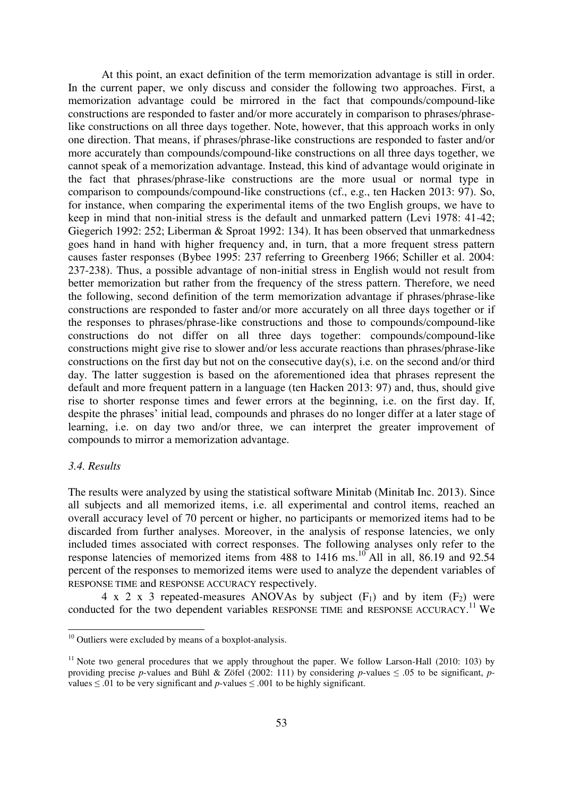At this point, an exact definition of the term memorization advantage is still in order. In the current paper, we only discuss and consider the following two approaches. First, a memorization advantage could be mirrored in the fact that compounds/compound-like constructions are responded to faster and/or more accurately in comparison to phrases/phraselike constructions on all three days together. Note, however, that this approach works in only one direction. That means, if phrases/phrase-like constructions are responded to faster and/or more accurately than compounds/compound-like constructions on all three days together, we cannot speak of a memorization advantage. Instead, this kind of advantage would originate in the fact that phrases/phrase-like constructions are the more usual or normal type in comparison to compounds/compound-like constructions (cf., e.g., ten Hacken 2013: 97). So, for instance, when comparing the experimental items of the two English groups, we have to keep in mind that non-initial stress is the default and unmarked pattern (Levi 1978: 41-42; Giegerich 1992: 252; Liberman & Sproat 1992: 134). It has been observed that unmarkedness goes hand in hand with higher frequency and, in turn, that a more frequent stress pattern causes faster responses (Bybee 1995: 237 referring to Greenberg 1966; Schiller et al. 2004: 237-238). Thus, a possible advantage of non-initial stress in English would not result from better memorization but rather from the frequency of the stress pattern. Therefore, we need the following, second definition of the term memorization advantage if phrases/phrase-like constructions are responded to faster and/or more accurately on all three days together or if the responses to phrases/phrase-like constructions and those to compounds/compound-like constructions do not differ on all three days together: compounds/compound-like constructions might give rise to slower and/or less accurate reactions than phrases/phrase-like constructions on the first day but not on the consecutive day(s), i.e. on the second and/or third day. The latter suggestion is based on the aforementioned idea that phrases represent the default and more frequent pattern in a language (ten Hacken 2013: 97) and, thus, should give rise to shorter response times and fewer errors at the beginning, i.e. on the first day. If, despite the phrases' initial lead, compounds and phrases do no longer differ at a later stage of learning, i.e. on day two and/or three, we can interpret the greater improvement of compounds to mirror a memorization advantage.

# *3.4. Results*

The results were analyzed by using the statistical software Minitab (Minitab Inc. 2013). Since all subjects and all memorized items, i.e. all experimental and control items, reached an overall accuracy level of 70 percent or higher, no participants or memorized items had to be discarded from further analyses. Moreover, in the analysis of response latencies, we only included times associated with correct responses. The following analyses only refer to the response latencies of memorized items from 488 to  $1416 \text{ ms}$ .<sup>10</sup> All in all, 86.19 and 92.54 percent of the responses to memorized items were used to analyze the dependent variables of RESPONSE TIME and RESPONSE ACCURACY respectively.

4 x 2 x 3 repeated-measures ANOVAs by subject  $(F_1)$  and by item  $(F_2)$  were conducted for the two dependent variables RESPONSE TIME and RESPONSE ACCURACY.<sup>11</sup> We

 $10$  Outliers were excluded by means of a boxplot-analysis.

 $11$  Note two general procedures that we apply throughout the paper. We follow Larson-Hall (2010: 103) by providing precise *p*-values and Bühl & Zöfel (2002: 111) by considering *p*-values  $\leq .05$  to be significant, *p*values ≤ .01 to be very significant and *p*-values ≤ .001 to be highly significant.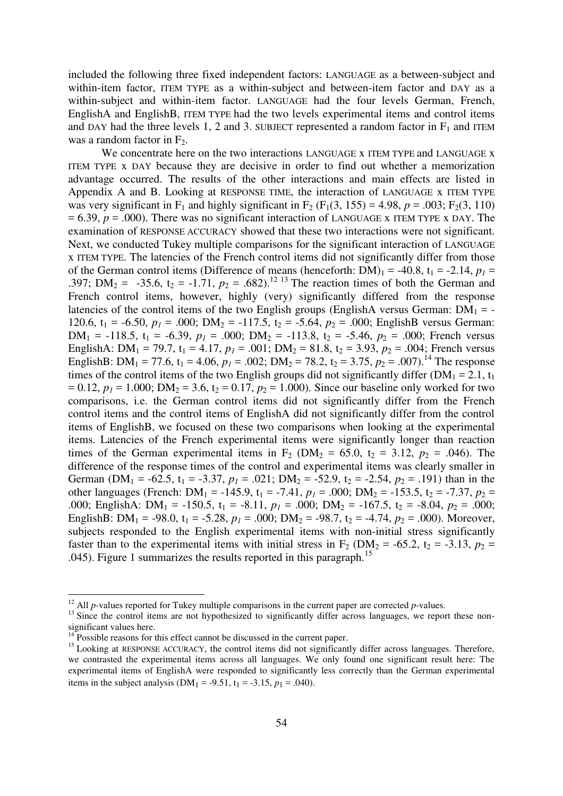included the following three fixed independent factors: LANGUAGE as a between-subject and within-item factor, ITEM TYPE as a within-subject and between-item factor and DAY as a within-subject and within-item factor. LANGUAGE had the four levels German, French, EnglishA and EnglishB, ITEM TYPE had the two levels experimental items and control items and DAY had the three levels 1, 2 and 3. SUBJECT represented a random factor in  $F_1$  and ITEM was a random factor in  $F_2$ .

We concentrate here on the two interactions LANGUAGE x ITEM TYPE and LANGUAGE x ITEM TYPE x DAY because they are decisive in order to find out whether a memorization advantage occurred. The results of the other interactions and main effects are listed in Appendix A and B. Looking at RESPONSE TIME, the interaction of LANGUAGE x ITEM TYPE was very significant in F<sub>1</sub> and highly significant in F<sub>2</sub> (F<sub>1</sub>(3, 155) = 4.98, *p* = .003; F<sub>2</sub>(3, 110)  $= 6.39$ ,  $p = .000$ ). There was no significant interaction of LANGUAGE x ITEM TYPE x DAY. The examination of RESPONSE ACCURACY showed that these two interactions were not significant. Next, we conducted Tukey multiple comparisons for the significant interaction of LANGUAGE x ITEM TYPE. The latencies of the French control items did not significantly differ from those of the German control items (Difference of means (henceforth:  $DM$ )<sub>1</sub> = -40.8, t<sub>1</sub> = -2.14,  $p<sub>I</sub>$  = .397; DM<sub>2</sub> = -35.6,  $t_2$  = -1.71,  $p_2$  = .682).<sup>12 13</sup> The reaction times of both the German and French control items, however, highly (very) significantly differed from the response latencies of the control items of the two English groups (EnglishA versus German:  $DM_1 = -$ 120.6,  $t_1 = -6.50$ ,  $p_1 = .000$ ;  $DM_2 = -117.5$ ,  $t_2 = -5.64$ ,  $p_2 = .000$ ; EnglishB versus German:  $DM_1 = -118.5$ ,  $t_1 = -6.39$ ,  $p_1 = .000$ ;  $DM_2 = -113.8$ ,  $t_2 = -5.46$ ,  $p_2 = .000$ ; French versus EnglishA: DM<sub>1</sub> = 79.7,  $t_1 = 4.17$ ,  $p_1 = .001$ ; DM<sub>2</sub> = 81.8,  $t_2 = 3.93$ ,  $p_2 = .004$ ; French versus EnglishB: DM<sub>1</sub> = 77.6,  $t_1 = 4.06$ ,  $p_1 = .002$ ; DM<sub>2</sub> = 78.2,  $t_2 = 3.75$ ,  $p_2 = .007$ ).<sup>14</sup> The response times of the control items of the two English groups did not significantly differ ( $DM_1 = 2.1$ ,  $t_1$  $= 0.12$ ,  $p_1 = 1.000$ ; DM<sub>2</sub> = 3.6, t<sub>2</sub> = 0.17,  $p_2 = 1.000$ ). Since our baseline only worked for two comparisons, i.e. the German control items did not significantly differ from the French control items and the control items of EnglishA did not significantly differ from the control items of EnglishB, we focused on these two comparisons when looking at the experimental items. Latencies of the French experimental items were significantly longer than reaction times of the German experimental items in  $F_2$  (DM<sub>2</sub> = 65.0,  $t_2$  = 3.12,  $p_2$  = .046). The difference of the response times of the control and experimental items was clearly smaller in German (DM<sub>1</sub> = -62.5,  $t_1 = -3.37$ ,  $p_1 = .021$ ; DM<sub>2</sub> = -52.9,  $t_2 = -2.54$ ,  $p_2 = .191$ ) than in the other languages (French: DM<sub>1</sub> = -145.9, t<sub>1</sub> = -7.41,  $p_1$  = .000; DM<sub>2</sub> = -153.5, t<sub>2</sub> = -7.37,  $p_2$  = .000; EnglishA:  $DM_1 = -150.5$ ,  $t_1 = -8.11$ ,  $p_1 = .000$ ;  $DM_2 = -167.5$ ,  $t_2 = -8.04$ ,  $p_2 = .000$ ; EnglishB: DM<sub>1</sub> = -98.0,  $t_1$  = -5.28,  $p_1$  = .000; DM<sub>2</sub> = -98.7,  $t_2$  = -4.74,  $p_2$  = .000). Moreover, subjects responded to the English experimental items with non-initial stress significantly faster than to the experimental items with initial stress in  $F_2$  (DM<sub>2</sub> = -65.2, t<sub>2</sub> = -3.13,  $p_2$  = .045). Figure 1 summarizes the results reported in this paragraph.<sup>15</sup>

<sup>&</sup>lt;sup>12</sup> All *p*-values reported for Tukey multiple comparisons in the current paper are corrected *p*-values.

<sup>&</sup>lt;sup>13</sup> Since the control items are not hypothesized to significantly differ across languages, we report these nonsignificant values here.

 $14$  Possible reasons for this effect cannot be discussed in the current paper.

<sup>&</sup>lt;sup>15</sup> Looking at RESPONSE ACCURACY, the control items did not significantly differ across languages. Therefore, we contrasted the experimental items across all languages. We only found one significant result here: The experimental items of EnglishA were responded to significantly less correctly than the German experimental items in the subject analysis ( $DM_1 = -9.51$ ,  $t_1 = -3.15$ ,  $p_1 = .040$ ).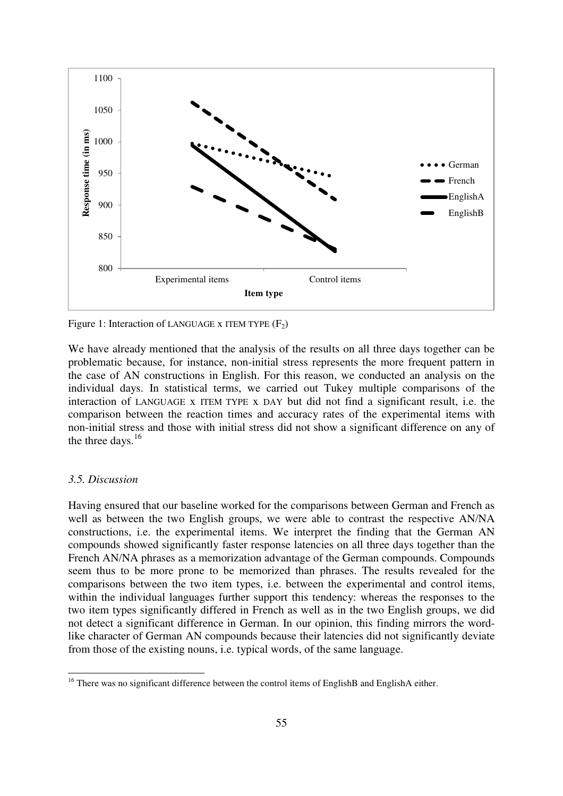

Figure 1: Interaction of LANGUAGE x ITEM TYPE  $(F_2)$ 

We have already mentioned that the analysis of the results on all three days together can be problematic because, for instance, non-initial stress represents the more frequent pattern in the case of AN constructions in English. For this reason, we conducted an analysis on the individual days. In statistical terms, we carried out Tukey multiple comparisons of the interaction of LANGUAGE x ITEM TYPE x DAY but did not find a significant result, i.e. the comparison between the reaction times and accuracy rates of the experimental items with non-initial stress and those with initial stress did not show a significant difference on any of the three days.  $16$ 

# *3.5. Discussion*

Having ensured that our baseline worked for the comparisons between German and French as well as between the two English groups, we were able to contrast the respective AN/NA constructions, i.e. the experimental items. We interpret the finding that the German AN compounds showed significantly faster response latencies on all three days together than the French AN/NA phrases as a memorization advantage of the German compounds. Compounds seem thus to be more prone to be memorized than phrases. The results revealed for the comparisons between the two item types, i.e. between the experimental and control items, within the individual languages further support this tendency: whereas the responses to the two item types significantly differed in French as well as in the two English groups, we did not detect a significant difference in German. In our opinion, this finding mirrors the wordlike character of German AN compounds because their latencies did not significantly deviate from those of the existing nouns, i.e. typical words, of the same language.

<sup>&</sup>lt;sup>16</sup> There was no significant difference between the control items of EnglishB and EnglishA either.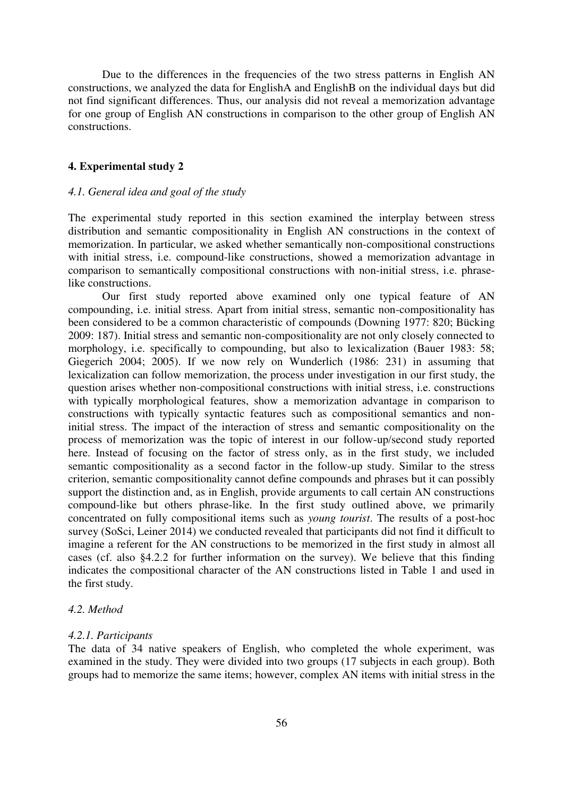Due to the differences in the frequencies of the two stress patterns in English AN constructions, we analyzed the data for EnglishA and EnglishB on the individual days but did not find significant differences. Thus, our analysis did not reveal a memorization advantage for one group of English AN constructions in comparison to the other group of English AN constructions.

#### **4. Experimental study 2**

# *4.1. General idea and goal of the study*

The experimental study reported in this section examined the interplay between stress distribution and semantic compositionality in English AN constructions in the context of memorization. In particular, we asked whether semantically non-compositional constructions with initial stress, i.e. compound-like constructions, showed a memorization advantage in comparison to semantically compositional constructions with non-initial stress, i.e. phraselike constructions.

Our first study reported above examined only one typical feature of AN compounding, i.e. initial stress. Apart from initial stress, semantic non-compositionality has been considered to be a common characteristic of compounds (Downing 1977: 820; Bücking 2009: 187). Initial stress and semantic non-compositionality are not only closely connected to morphology, i.e. specifically to compounding, but also to lexicalization (Bauer 1983: 58; Giegerich 2004; 2005). If we now rely on Wunderlich (1986: 231) in assuming that lexicalization can follow memorization, the process under investigation in our first study, the question arises whether non-compositional constructions with initial stress, i.e. constructions with typically morphological features, show a memorization advantage in comparison to constructions with typically syntactic features such as compositional semantics and noninitial stress. The impact of the interaction of stress and semantic compositionality on the process of memorization was the topic of interest in our follow-up/second study reported here. Instead of focusing on the factor of stress only, as in the first study, we included semantic compositionality as a second factor in the follow-up study. Similar to the stress criterion, semantic compositionality cannot define compounds and phrases but it can possibly support the distinction and, as in English, provide arguments to call certain AN constructions compound-like but others phrase-like. In the first study outlined above, we primarily concentrated on fully compositional items such as *young tourist*. The results of a post-hoc survey (SoSci, Leiner 2014) we conducted revealed that participants did not find it difficult to imagine a referent for the AN constructions to be memorized in the first study in almost all cases (cf. also §4.2.2 for further information on the survey). We believe that this finding indicates the compositional character of the AN constructions listed in Table 1 and used in the first study.

#### *4.2. Method*

#### *4.2.1. Participants*

The data of 34 native speakers of English, who completed the whole experiment, was examined in the study. They were divided into two groups (17 subjects in each group). Both groups had to memorize the same items; however, complex AN items with initial stress in the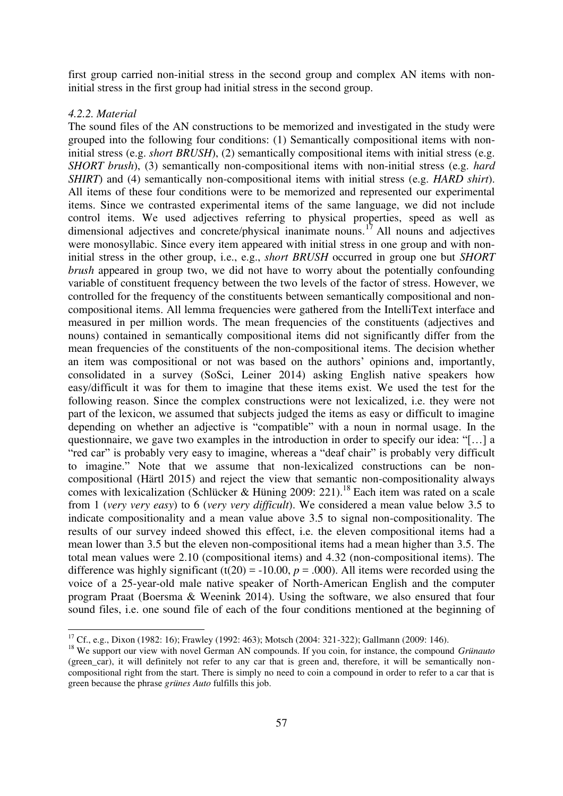first group carried non-initial stress in the second group and complex AN items with noninitial stress in the first group had initial stress in the second group.

# *4.2.2. Material*

The sound files of the AN constructions to be memorized and investigated in the study were grouped into the following four conditions: (1) Semantically compositional items with noninitial stress (e.g. *short BRUSH*), (2) semantically compositional items with initial stress (e.g. *SHORT brush*), (3) semantically non-compositional items with non-initial stress (e.g. *hard SHIRT*) and (4) semantically non-compositional items with initial stress (e.g. *HARD shirt*). All items of these four conditions were to be memorized and represented our experimental items. Since we contrasted experimental items of the same language, we did not include control items. We used adjectives referring to physical properties, speed as well as dimensional adjectives and concrete/physical inanimate nouns.<sup>17</sup> All nouns and adjectives were monosyllabic. Since every item appeared with initial stress in one group and with noninitial stress in the other group, i.e., e.g., *short BRUSH* occurred in group one but *SHORT brush* appeared in group two, we did not have to worry about the potentially confounding variable of constituent frequency between the two levels of the factor of stress. However, we controlled for the frequency of the constituents between semantically compositional and noncompositional items. All lemma frequencies were gathered from the IntelliText interface and measured in per million words. The mean frequencies of the constituents (adjectives and nouns) contained in semantically compositional items did not significantly differ from the mean frequencies of the constituents of the non-compositional items. The decision whether an item was compositional or not was based on the authors' opinions and, importantly, consolidated in a survey (SoSci, Leiner 2014) asking English native speakers how easy/difficult it was for them to imagine that these items exist. We used the test for the following reason. Since the complex constructions were not lexicalized, i.e. they were not part of the lexicon, we assumed that subjects judged the items as easy or difficult to imagine depending on whether an adjective is "compatible" with a noun in normal usage. In the questionnaire, we gave two examples in the introduction in order to specify our idea: "[…] a "red car" is probably very easy to imagine, whereas a "deaf chair" is probably very difficult to imagine." Note that we assume that non-lexicalized constructions can be noncompositional (Härtl 2015) and reject the view that semantic non-compositionality always comes with lexicalization (Schlücker & Hüning 2009: 221).<sup>18</sup> Each item was rated on a scale from 1 (*very very easy*) to 6 (*very very difficult*). We considered a mean value below 3.5 to indicate compositionality and a mean value above 3.5 to signal non-compositionality. The results of our survey indeed showed this effect, i.e. the eleven compositional items had a mean lower than 3.5 but the eleven non-compositional items had a mean higher than 3.5. The total mean values were 2.10 (compositional items) and 4.32 (non-compositional items). The difference was highly significant (t(20) = -10.00,  $p = .000$ ). All items were recorded using the voice of a 25-year-old male native speaker of North-American English and the computer program Praat (Boersma & Weenink 2014). Using the software, we also ensured that four sound files, i.e. one sound file of each of the four conditions mentioned at the beginning of

<sup>17</sup> Cf., e.g., Dixon (1982: 16); Frawley (1992: 463); Motsch (2004: 321-322); Gallmann (2009: 146).

<sup>&</sup>lt;sup>18</sup> We support our view with novel German AN compounds. If you coin, for instance, the compound *Grünauto* (green\_car), it will definitely not refer to any car that is green and, therefore, it will be semantically noncompositional right from the start. There is simply no need to coin a compound in order to refer to a car that is green because the phrase *grünes Auto* fulfills this job.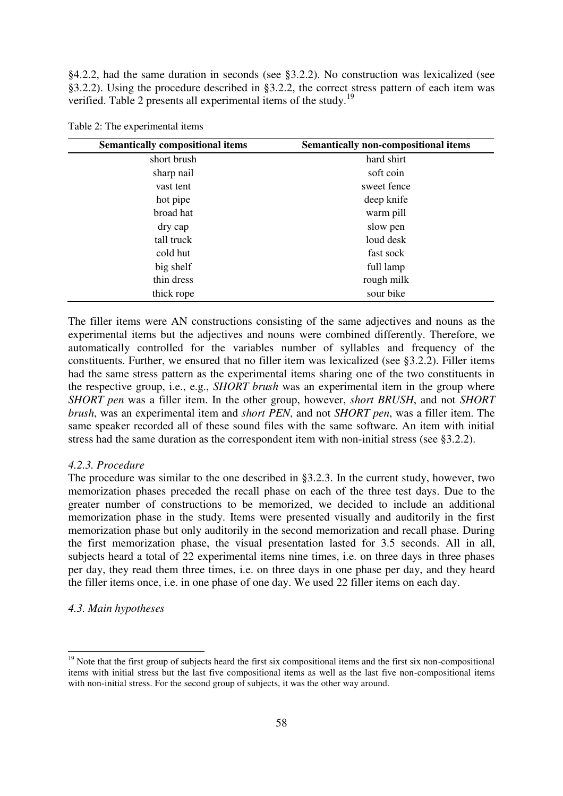§4.2.2, had the same duration in seconds (see §3.2.2). No construction was lexicalized (see §3.2.2). Using the procedure described in §3.2.2, the correct stress pattern of each item was verified. Table 2 presents all experimental items of the study.<sup>19</sup>

| <b>Semantically compositional items</b> | <b>Semantically non-compositional items</b> |  |
|-----------------------------------------|---------------------------------------------|--|
| short brush                             | hard shirt                                  |  |
| sharp nail                              | soft coin                                   |  |
| vast tent                               | sweet fence                                 |  |
| hot pipe                                | deep knife                                  |  |
| broad hat                               | warm pill                                   |  |
| dry cap                                 | slow pen                                    |  |
| tall truck                              | loud desk                                   |  |
| cold hut                                | fast sock                                   |  |
| big shelf                               | full lamp                                   |  |
| thin dress                              | rough milk                                  |  |
| thick rope                              | sour bike                                   |  |

Table 2: The experimental items

The filler items were AN constructions consisting of the same adjectives and nouns as the experimental items but the adjectives and nouns were combined differently. Therefore, we automatically controlled for the variables number of syllables and frequency of the constituents. Further, we ensured that no filler item was lexicalized (see §3.2.2). Filler items had the same stress pattern as the experimental items sharing one of the two constituents in the respective group, i.e., e.g., *SHORT brush* was an experimental item in the group where *SHORT pen* was a filler item. In the other group, however, *short BRUSH*, and not *SHORT brush*, was an experimental item and *short PEN*, and not *SHORT pen*, was a filler item. The same speaker recorded all of these sound files with the same software. An item with initial stress had the same duration as the correspondent item with non-initial stress (see §3.2.2).

#### *4.2.3. Procedure*

The procedure was similar to the one described in §3.2.3. In the current study, however, two memorization phases preceded the recall phase on each of the three test days. Due to the greater number of constructions to be memorized, we decided to include an additional memorization phase in the study. Items were presented visually and auditorily in the first memorization phase but only auditorily in the second memorization and recall phase. During the first memorization phase, the visual presentation lasted for 3.5 seconds. All in all, subjects heard a total of 22 experimental items nine times, i.e. on three days in three phases per day, they read them three times, i.e. on three days in one phase per day, and they heard the filler items once, i.e. in one phase of one day. We used 22 filler items on each day.

## *4.3. Main hypotheses*

 $\overline{a}$ 

<sup>&</sup>lt;sup>19</sup> Note that the first group of subjects heard the first six compositional items and the first six non-compositional items with initial stress but the last five compositional items as well as the last five non-compositional items with non-initial stress. For the second group of subjects, it was the other way around.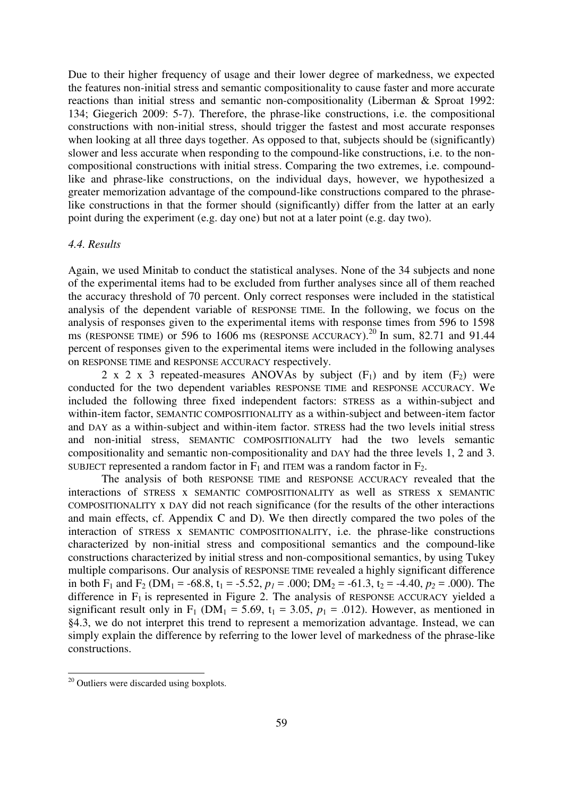Due to their higher frequency of usage and their lower degree of markedness, we expected the features non-initial stress and semantic compositionality to cause faster and more accurate reactions than initial stress and semantic non-compositionality (Liberman & Sproat 1992: 134; Giegerich 2009: 5-7). Therefore, the phrase-like constructions, i.e. the compositional constructions with non-initial stress, should trigger the fastest and most accurate responses when looking at all three days together. As opposed to that, subjects should be (significantly) slower and less accurate when responding to the compound-like constructions, i.e. to the noncompositional constructions with initial stress. Comparing the two extremes, i.e. compoundlike and phrase-like constructions, on the individual days, however, we hypothesized a greater memorization advantage of the compound-like constructions compared to the phraselike constructions in that the former should (significantly) differ from the latter at an early point during the experiment (e.g. day one) but not at a later point (e.g. day two).

# *4.4. Results*

Again, we used Minitab to conduct the statistical analyses. None of the 34 subjects and none of the experimental items had to be excluded from further analyses since all of them reached the accuracy threshold of 70 percent. Only correct responses were included in the statistical analysis of the dependent variable of RESPONSE TIME. In the following, we focus on the analysis of responses given to the experimental items with response times from 596 to 1598 ms (RESPONSE TIME) or 596 to 1606 ms (RESPONSE ACCURACY).<sup>20</sup> In sum, 82.71 and 91.44 percent of responses given to the experimental items were included in the following analyses on RESPONSE TIME and RESPONSE ACCURACY respectively.

2 x 2 x 3 repeated-measures ANOVAs by subject  $(F_1)$  and by item  $(F_2)$  were conducted for the two dependent variables RESPONSE TIME and RESPONSE ACCURACY. We included the following three fixed independent factors: STRESS as a within-subject and within-item factor, SEMANTIC COMPOSITIONALITY as a within-subject and between-item factor and DAY as a within-subject and within-item factor. STRESS had the two levels initial stress and non-initial stress, SEMANTIC COMPOSITIONALITY had the two levels semantic compositionality and semantic non-compositionality and DAY had the three levels 1, 2 and 3. SUBJECT represented a random factor in  $F_1$  and ITEM was a random factor in  $F_2$ .

The analysis of both RESPONSE TIME and RESPONSE ACCURACY revealed that the interactions of STRESS x SEMANTIC COMPOSITIONALITY as well as STRESS x SEMANTIC COMPOSITIONALITY x DAY did not reach significance (for the results of the other interactions and main effects, cf. Appendix C and D). We then directly compared the two poles of the interaction of STRESS x SEMANTIC COMPOSITIONALITY, i.e. the phrase-like constructions characterized by non-initial stress and compositional semantics and the compound-like constructions characterized by initial stress and non-compositional semantics, by using Tukey multiple comparisons. Our analysis of RESPONSE TIME revealed a highly significant difference in both F<sub>1</sub> and F<sub>2</sub> (DM<sub>1</sub> = -68.8, t<sub>1</sub> = -5.52,  $p_1$  = .000; DM<sub>2</sub> = -61.3, t<sub>2</sub> = -4.40,  $p_2$  = .000). The difference in  $F_1$  is represented in Figure 2. The analysis of RESPONSE ACCURACY yielded a significant result only in  $F_1$  (DM<sub>1</sub> = 5.69, t<sub>1</sub> = 3.05,  $p_1$  = .012). However, as mentioned in §4.3, we do not interpret this trend to represent a memorization advantage. Instead, we can simply explain the difference by referring to the lower level of markedness of the phrase-like constructions.

<sup>&</sup>lt;sup>20</sup> Outliers were discarded using boxplots.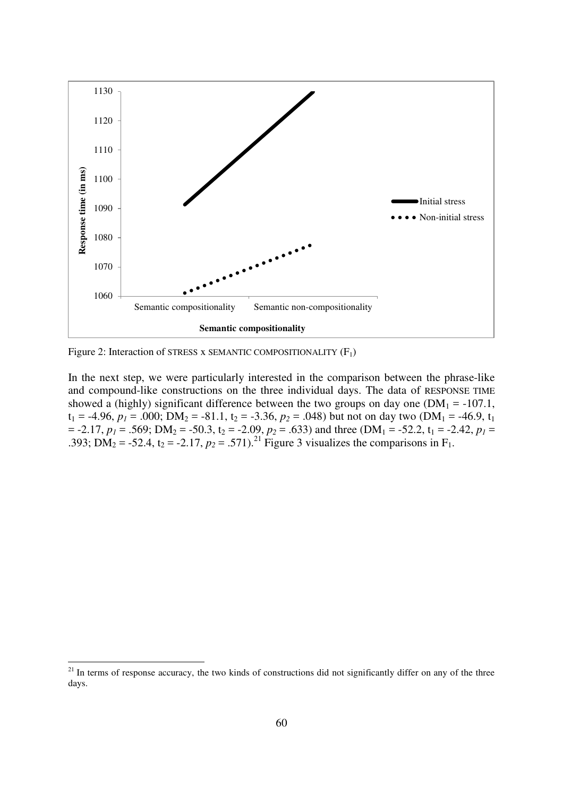

Figure 2: Interaction of STRESS x SEMANTIC COMPOSITIONALITY  $(F_1)$ 

In the next step, we were particularly interested in the comparison between the phrase-like and compound-like constructions on the three individual days. The data of RESPONSE TIME showed a (highly) significant difference between the two groups on day one ( $DM_1 = -107.1$ ,  $t_1 = -4.96$ ,  $p_1 = .000$ ; DM<sub>2</sub> = -81.1,  $t_2 = -3.36$ ,  $p_2 = .048$ ) but not on day two (DM<sub>1</sub> = -46.9,  $t_1$  $=$  -2.17,  $p_1 = .569$ ; DM<sub>2</sub> = -50.3, t<sub>2</sub> = -2.09,  $p_2 = .633$ ) and three (DM<sub>1</sub> = -52.2, t<sub>1</sub> = -2.42,  $p_1 =$ .393; DM<sub>2</sub> = -52.4,  $t_2$  = -2.17,  $p_2$  = .571).<sup>21</sup> Figure 3 visualizes the comparisons in F<sub>1</sub>.

<sup>&</sup>lt;sup>21</sup> In terms of response accuracy, the two kinds of constructions did not significantly differ on any of the three days.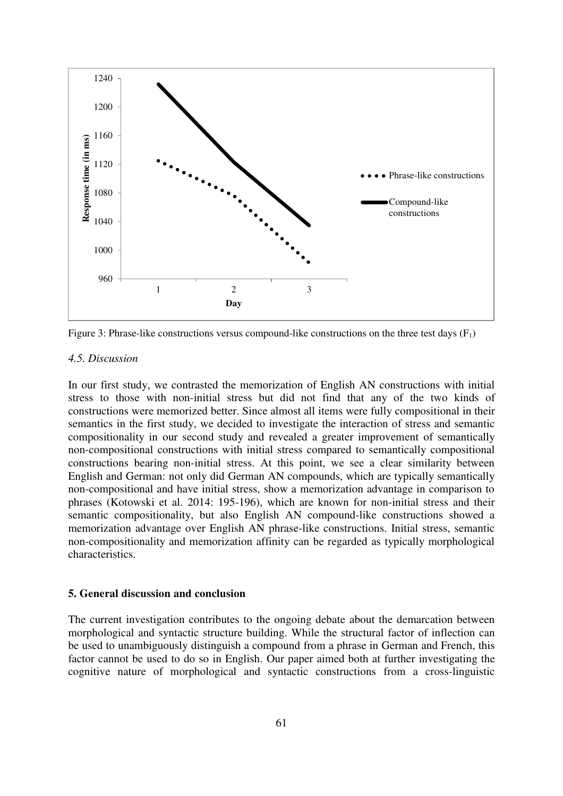

Figure 3: Phrase-like constructions versus compound-like constructions on the three test days  $(F_1)$ 

### *4.5. Discussion*

In our first study, we contrasted the memorization of English AN constructions with initial stress to those with non-initial stress but did not find that any of the two kinds of constructions were memorized better. Since almost all items were fully compositional in their semantics in the first study, we decided to investigate the interaction of stress and semantic compositionality in our second study and revealed a greater improvement of semantically non-compositional constructions with initial stress compared to semantically compositional constructions bearing non-initial stress. At this point, we see a clear similarity between English and German: not only did German AN compounds, which are typically semantically non-compositional and have initial stress, show a memorization advantage in comparison to phrases (Kotowski et al. 2014: 195-196), which are known for non-initial stress and their semantic compositionality, but also English AN compound-like constructions showed a memorization advantage over English AN phrase-like constructions. Initial stress, semantic non-compositionality and memorization affinity can be regarded as typically morphological characteristics.

# **5. General discussion and conclusion**

The current investigation contributes to the ongoing debate about the demarcation between morphological and syntactic structure building. While the structural factor of inflection can be used to unambiguously distinguish a compound from a phrase in German and French, this factor cannot be used to do so in English. Our paper aimed both at further investigating the cognitive nature of morphological and syntactic constructions from a cross-linguistic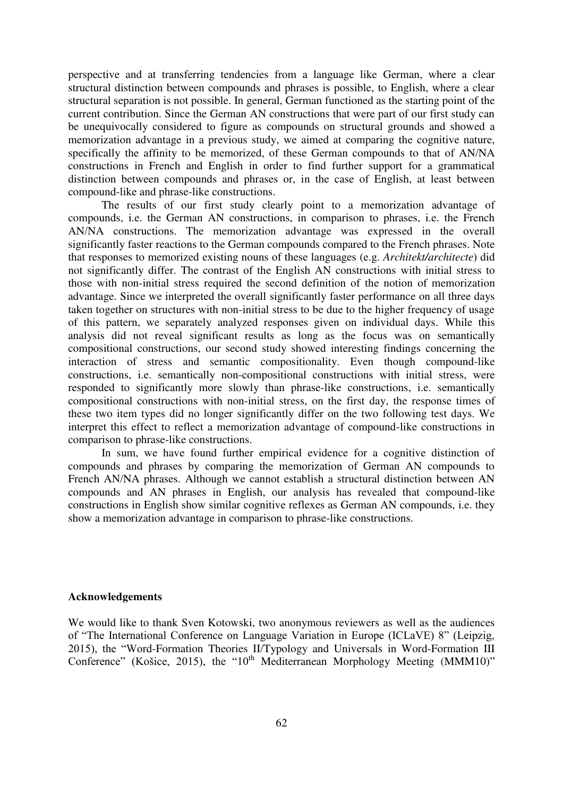perspective and at transferring tendencies from a language like German, where a clear structural distinction between compounds and phrases is possible, to English, where a clear structural separation is not possible. In general, German functioned as the starting point of the current contribution. Since the German AN constructions that were part of our first study can be unequivocally considered to figure as compounds on structural grounds and showed a memorization advantage in a previous study, we aimed at comparing the cognitive nature, specifically the affinity to be memorized, of these German compounds to that of AN/NA constructions in French and English in order to find further support for a grammatical distinction between compounds and phrases or, in the case of English, at least between compound-like and phrase-like constructions.

The results of our first study clearly point to a memorization advantage of compounds, i.e. the German AN constructions, in comparison to phrases, i.e. the French AN/NA constructions. The memorization advantage was expressed in the overall significantly faster reactions to the German compounds compared to the French phrases. Note that responses to memorized existing nouns of these languages (e.g. *Architekt/architecte*) did not significantly differ. The contrast of the English AN constructions with initial stress to those with non-initial stress required the second definition of the notion of memorization advantage. Since we interpreted the overall significantly faster performance on all three days taken together on structures with non-initial stress to be due to the higher frequency of usage of this pattern, we separately analyzed responses given on individual days. While this analysis did not reveal significant results as long as the focus was on semantically compositional constructions, our second study showed interesting findings concerning the interaction of stress and semantic compositionality. Even though compound-like constructions, i.e. semantically non-compositional constructions with initial stress, were responded to significantly more slowly than phrase-like constructions, i.e. semantically compositional constructions with non-initial stress, on the first day, the response times of these two item types did no longer significantly differ on the two following test days. We interpret this effect to reflect a memorization advantage of compound-like constructions in comparison to phrase-like constructions.

In sum, we have found further empirical evidence for a cognitive distinction of compounds and phrases by comparing the memorization of German AN compounds to French AN/NA phrases. Although we cannot establish a structural distinction between AN compounds and AN phrases in English, our analysis has revealed that compound-like constructions in English show similar cognitive reflexes as German AN compounds, i.e. they show a memorization advantage in comparison to phrase-like constructions.

#### **Acknowledgements**

We would like to thank Sven Kotowski, two anonymous reviewers as well as the audiences of "The International Conference on Language Variation in Europe (ICLaVE) 8" (Leipzig, 2015), the "Word-Formation Theories II/Typology and Universals in Word-Formation III Conference" (Košice, 2015), the " $10<sup>th</sup>$  Mediterranean Morphology Meeting (MMM10)"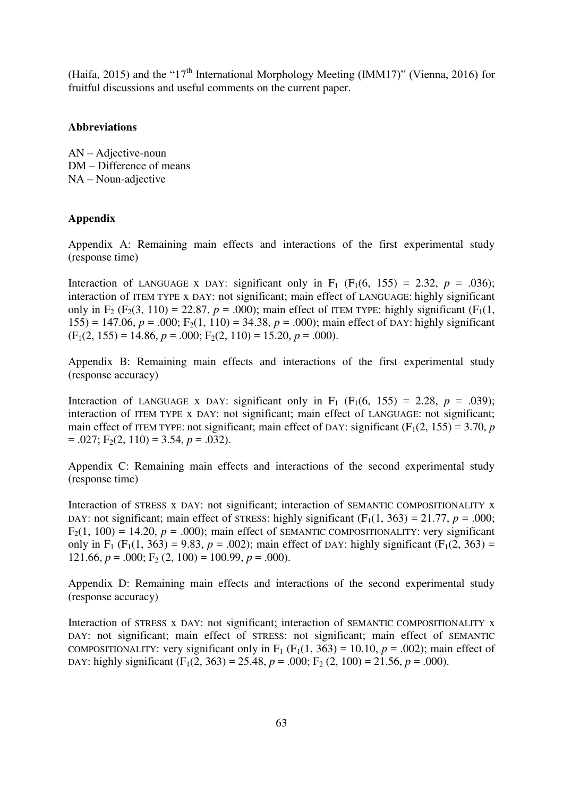(Haifa, 2015) and the " $17<sup>th</sup>$  International Morphology Meeting (IMM17)" (Vienna, 2016) for fruitful discussions and useful comments on the current paper.

# **Abbreviations**

AN – Adjective-noun DM – Difference of means NA – Noun-adjective

# **Appendix**

Appendix A: Remaining main effects and interactions of the first experimental study (response time)

Interaction of LANGUAGE x DAY: significant only in  $F_1$  ( $F_1(6, 155) = 2.32$ ,  $p = .036$ ); interaction of ITEM TYPE x DAY: not significant; main effect of LANGUAGE: highly significant only in  $F_2$  ( $F_2$ (3, 110) = 22.87,  $p = .000$ ); main effect of ITEM TYPE: highly significant ( $F_1$ (1, 155) = 147.06,  $p = .000$ ;  $F_2(1, 110) = 34.38$ ,  $p = .000$ ; main effect of DAY: highly significant  $(F_1(2, 155) = 14.86, p = .000; F_2(2, 110) = 15.20, p = .000).$ 

Appendix B: Remaining main effects and interactions of the first experimental study (response accuracy)

Interaction of LANGUAGE x DAY: significant only in  $F_1$  ( $F_1(6, 155) = 2.28$ ,  $p = .039$ ); interaction of ITEM TYPE x DAY: not significant; main effect of LANGUAGE: not significant; main effect of ITEM TYPE: not significant; main effect of DAY: significant  $(F_1(2, 155) = 3.70, p$  $= .027$ ; F<sub>2</sub>(2, 110) = 3.54, *p* = .032).

Appendix C: Remaining main effects and interactions of the second experimental study (response time)

Interaction of STRESS x DAY: not significant; interaction of SEMANTIC COMPOSITIONALITY x DAY: not significant; main effect of STRESS: highly significant  $(F_1(1, 363) = 21.77$ ,  $p = .000$ ;  $F_2(1, 100) = 14.20$ ,  $p = .000$ ; main effect of SEMANTIC COMPOSITIONALITY: very significant only in F<sub>1</sub> (F<sub>1</sub>(1, 363) = 9.83,  $p = .002$ ); main effect of DAY: highly significant (F<sub>1</sub>(2, 363) = 121.66,  $p = .000$ ;  $F_2$  (2, 100) = 100.99,  $p = .000$ ).

Appendix D: Remaining main effects and interactions of the second experimental study (response accuracy)

Interaction of STRESS x DAY: not significant; interaction of SEMANTIC COMPOSITIONALITY x DAY: not significant; main effect of STRESS: not significant; main effect of SEMANTIC COMPOSITIONALITY: very significant only in  $F_1$  ( $F_1(1, 363) = 10.10$ ,  $p = .002$ ); main effect of DAY: highly significant  $(F_1(2, 363) = 25.48, p = .000; F_2(2, 100) = 21.56, p = .000)$ .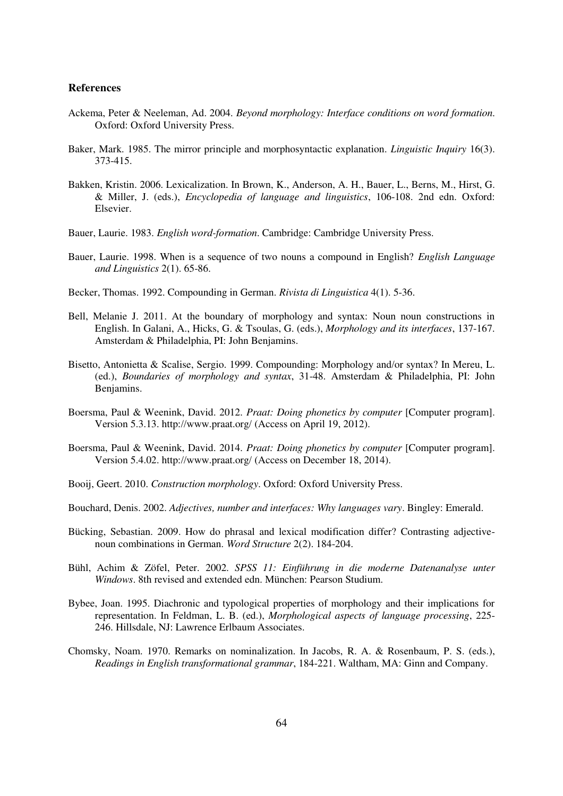#### **References**

- Ackema, Peter & Neeleman, Ad. 2004. *Beyond morphology: Interface conditions on word formation*. Oxford: Oxford University Press.
- Baker, Mark. 1985. The mirror principle and morphosyntactic explanation. *Linguistic Inquiry* 16(3). 373-415.
- Bakken, Kristin. 2006. Lexicalization. In Brown, K., Anderson, A. H., Bauer, L., Berns, M., Hirst, G. & Miller, J. (eds.), *Encyclopedia of language and linguistics*, 106-108. 2nd edn. Oxford: Elsevier.
- Bauer, Laurie. 1983. *English word-formation*. Cambridge: Cambridge University Press.
- Bauer, Laurie. 1998. When is a sequence of two nouns a compound in English? *English Language and Linguistics* 2(1). 65-86.
- Becker, Thomas. 1992. Compounding in German. *Rivista di Linguistica* 4(1). 5-36.
- Bell, Melanie J. 2011. At the boundary of morphology and syntax: Noun noun constructions in English. In Galani, A., Hicks, G. & Tsoulas, G. (eds.), *Morphology and its interfaces*, 137-167. Amsterdam & Philadelphia, PI: John Benjamins.
- Bisetto, Antonietta & Scalise, Sergio. 1999. Compounding: Morphology and/or syntax? In Mereu, L. (ed.), *Boundaries of morphology and syntax*, 31-48. Amsterdam & Philadelphia, PI: John Benjamins.
- Boersma, Paul & Weenink, David. 2012. *Praat: Doing phonetics by computer* [Computer program]. Version 5.3.13.<http://www.praat.org/>(Access on April 19, 2012).
- Boersma, Paul & Weenink, David. 2014. *Praat: Doing phonetics by computer* [Computer program]. Version 5.4.02.<http://www.praat.org/>(Access on December 18, 2014).
- Booij, Geert. 2010. *Construction morphology*. Oxford: Oxford University Press.
- Bouchard, Denis. 2002. *Adjectives, number and interfaces: Why languages vary*. Bingley: Emerald.
- Bücking, Sebastian. 2009. How do phrasal and lexical modification differ? Contrasting adjectivenoun combinations in German. *Word Structure* 2(2). 184-204.
- Bühl, Achim & Zöfel, Peter. 2002. *SPSS 11: Einführung in die moderne Datenanalyse unter Windows*. 8th revised and extended edn. München: Pearson Studium.
- Bybee, Joan. 1995. Diachronic and typological properties of morphology and their implications for representation. In Feldman, L. B. (ed.), *Morphological aspects of language processing*, 225- 246. Hillsdale, NJ: Lawrence Erlbaum Associates.
- Chomsky, Noam. 1970. Remarks on nominalization. In Jacobs, R. A. & Rosenbaum, P. S. (eds.), *Readings in English transformational grammar*, 184-221. Waltham, MA: Ginn and Company.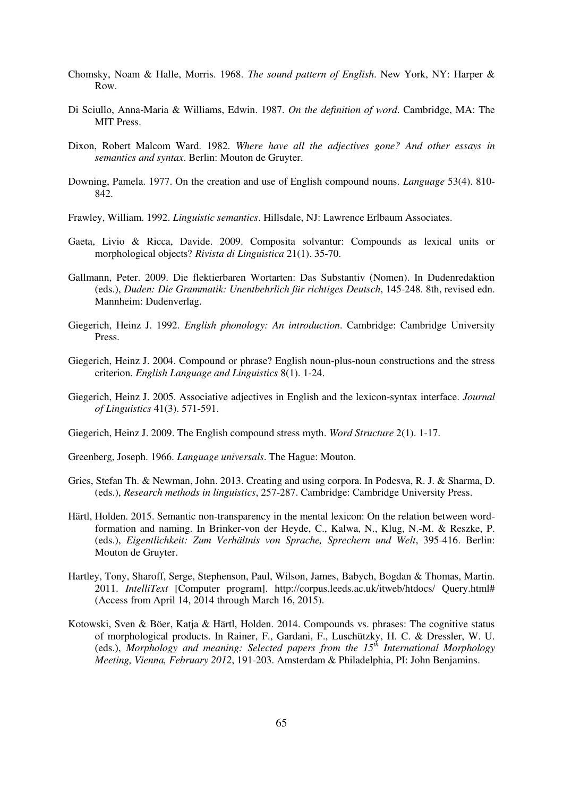- Chomsky, Noam & Halle, Morris. 1968. *The sound pattern of English*. New York, NY: Harper & Row.
- Di Sciullo, Anna-Maria & Williams, Edwin. 1987. *On the definition of word*. Cambridge, MA: The MIT Press.
- Dixon, Robert Malcom Ward. 1982. *Where have all the adjectives gone? And other essays in semantics and syntax*. Berlin: Mouton de Gruyter.
- Downing, Pamela. 1977. On the creation and use of English compound nouns. *Language* 53(4). 810- 842.
- Frawley, William. 1992. *Linguistic semantics*. Hillsdale, NJ: Lawrence Erlbaum Associates.
- Gaeta, Livio & Ricca, Davide. 2009. Composita solvantur: Compounds as lexical units or morphological objects? *Rivista di Linguistica* 21(1). 35-70.
- Gallmann, Peter. 2009. Die flektierbaren Wortarten: Das Substantiv (Nomen). In Dudenredaktion (eds.), *Duden: Die Grammatik: Unentbehrlich für richtiges Deutsch*, 145-248. 8th, revised edn. Mannheim: Dudenverlag.
- Giegerich, Heinz J. 1992. *English phonology: An introduction*. Cambridge: Cambridge University Press.
- Giegerich, Heinz J. 2004. Compound or phrase? English noun-plus-noun constructions and the stress criterion. *English Language and Linguistics* 8(1). 1-24.
- Giegerich, Heinz J. 2005. Associative adjectives in English and the lexicon-syntax interface. *Journal of Linguistics* 41(3). 571-591.
- Giegerich, Heinz J. 2009. The English compound stress myth. *Word Structure* 2(1). 1-17.
- Greenberg, Joseph. 1966. *Language universals*. The Hague: Mouton.
- Gries, Stefan Th. & Newman, John. 2013. Creating and using corpora. In Podesva, R. J. & Sharma, D. (eds.), *Research methods in linguistics*, 257-287. Cambridge: Cambridge University Press.
- Härtl, Holden. 2015. Semantic non-transparency in the mental lexicon: On the relation between wordformation and naming. In Brinker-von der Heyde, C., Kalwa, N., Klug, N.-M. & Reszke, P. (eds.), *Eigentlichkeit: Zum Verhältnis von Sprache, Sprechern und Welt*, 395-416. Berlin: Mouton de Gruyter.
- Hartley, Tony, Sharoff, Serge, Stephenson, Paul, Wilson, James, Babych, Bogdan & Thomas, Martin. 2011. *IntelliText* [Computer program]. http://corpus.leeds.ac.uk/itweb/htdocs/ Query.html# (Access from April 14, 2014 through March 16, 2015).
- Kotowski, Sven & Böer, Katja & Härtl, Holden. 2014. Compounds vs. phrases: The cognitive status of morphological products. In Rainer, F., Gardani, F., Luschützky, H. C. & Dressler, W. U. (eds.), *Morphology and meaning: Selected papers from the 15th International Morphology Meeting, Vienna, February 2012*, 191-203. Amsterdam & Philadelphia, PI: John Benjamins.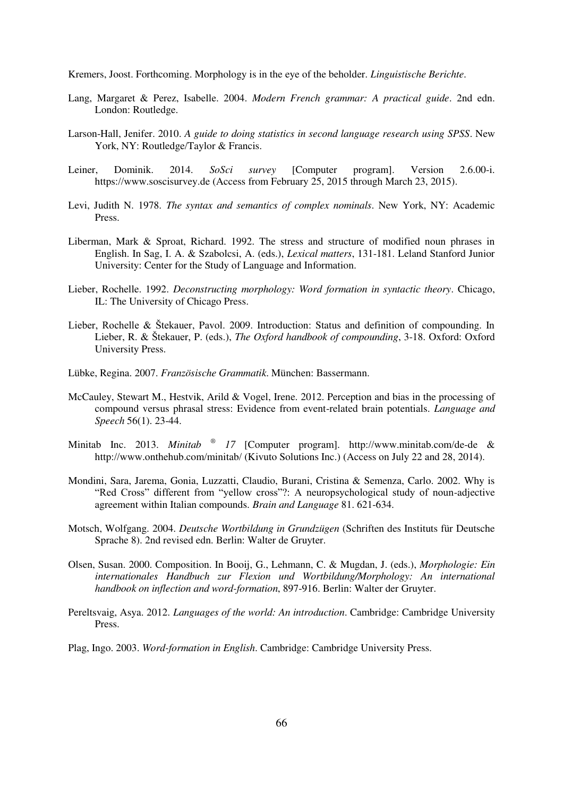Kremers, Joost. Forthcoming. Morphology is in the eye of the beholder. *Linguistische Berichte*.

- Lang, Margaret & Perez, Isabelle. 2004. *Modern French grammar: A practical guide*. 2nd edn. London: Routledge.
- Larson-Hall, Jenifer. 2010. *A guide to doing statistics in second language research using SPSS*. New York, NY: Routledge/Taylor & Francis.
- Leiner, Dominik. 2014. *SoSci survey* [Computer program]. Version 2.6.00-i. [https://www.soscisurvey.de](https://www.soscisurvey.de/) (Access from February 25, 2015 through March 23, 2015).
- Levi, Judith N. 1978. *The syntax and semantics of complex nominals*. New York, NY: Academic Press.
- Liberman, Mark & Sproat, Richard. 1992. The stress and structure of modified noun phrases in English. In Sag, I. A. & Szabolcsi, A. (eds.), *Lexical matters*, 131-181. Leland Stanford Junior University: Center for the Study of Language and Information.
- Lieber, Rochelle. 1992. *Deconstructing morphology: Word formation in syntactic theory*. Chicago, IL: The University of Chicago Press.
- Lieber, Rochelle & Štekauer, Pavol. 2009. Introduction: Status and definition of compounding. In Lieber, R. & Štekauer, P. (eds.), *The Oxford handbook of compounding*, 3-18. Oxford: Oxford University Press.
- Lübke, Regina. 2007. *Französische Grammatik*. München: Bassermann.
- McCauley, Stewart M., Hestvik, Arild & Vogel, Irene. 2012. Perception and bias in the processing of compound versus phrasal stress: Evidence from event-related brain potentials. *Language and Speech* 56(1). 23-44.
- Minitab Inc. 2013. *Minitab ® 17* [Computer program]. <http://www.minitab.com/de-de>& <http://www.onthehub.com/minitab/>(Kivuto Solutions Inc.) (Access on July 22 and 28, 2014).
- Mondini, Sara, Jarema, Gonia, Luzzatti, Claudio, Burani, Cristina & Semenza, Carlo. 2002. Why is "Red Cross" different from "yellow cross"?: A neuropsychological study of noun-adjective agreement within Italian compounds. *Brain and Language* 81. 621-634.
- Motsch, Wolfgang. 2004. *Deutsche Wortbildung in Grundzügen* (Schriften des Instituts für Deutsche Sprache 8). 2nd revised edn. Berlin: Walter de Gruyter.
- Olsen, Susan. 2000. Composition. In Booij, G., Lehmann, C. & Mugdan, J. (eds.), *Morphologie: Ein internationales Handbuch zur Flexion und Wortbildung/Morphology: An international handbook on inflection and word-formation*, 897-916. Berlin: Walter der Gruyter.
- Pereltsvaig, Asya. 2012. *Languages of the world: An introduction*. Cambridge: Cambridge University Press.
- Plag, Ingo. 2003. *Word-formation in English*. Cambridge: Cambridge University Press.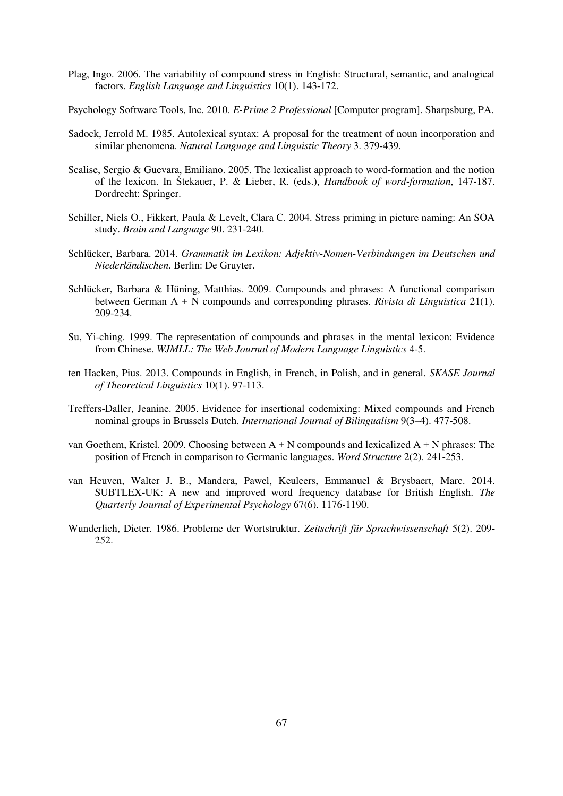Plag, Ingo. 2006. The variability of compound stress in English: Structural, semantic, and analogical factors. *English Language and Linguistics* 10(1). 143-172.

Psychology Software Tools, Inc. 2010. *E-Prime 2 Professional* [Computer program]. Sharpsburg, PA.

- Sadock, Jerrold M. 1985. Autolexical syntax: A proposal for the treatment of noun incorporation and similar phenomena. *Natural Language and Linguistic Theory* 3. 379-439.
- Scalise, Sergio & Guevara, Emiliano. 2005. The lexicalist approach to word-formation and the notion of the lexicon. In Štekauer, P. & Lieber, R. (eds.), *Handbook of word-formation*, 147-187. Dordrecht: Springer.
- Schiller, Niels O., Fikkert, Paula & Levelt, Clara C. 2004. Stress priming in picture naming: An SOA study. *Brain and Language* 90. 231-240.
- Schlücker, Barbara. 2014. *Grammatik im Lexikon: Adjektiv-Nomen-Verbindungen im Deutschen und Niederländischen*. Berlin: De Gruyter.
- Schlücker, Barbara & Hüning, Matthias. 2009. Compounds and phrases: A functional comparison between German A + N compounds and corresponding phrases. *Rivista di Linguistica* 21(1). 209-234.
- Su, Yi-ching. 1999. The representation of compounds and phrases in the mental lexicon: Evidence from Chinese. *WJMLL: The Web Journal of Modern Language Linguistics* 4-5.
- ten Hacken, Pius. 2013. Compounds in English, in French, in Polish, and in general. *SKASE Journal of Theoretical Linguistics* 10(1). 97-113.
- Treffers-Daller, Jeanine. 2005. Evidence for insertional codemixing: Mixed compounds and French nominal groups in Brussels Dutch. *International Journal of Bilingualism* 9(3–4). 477-508.
- van Goethem, Kristel. 2009. Choosing between A + N compounds and lexicalized A + N phrases: The position of French in comparison to Germanic languages. *Word Structure* 2(2). 241-253.
- van Heuven, Walter J. B., Mandera, Pawel, Keuleers, Emmanuel & Brysbaert, Marc. 2014. SUBTLEX-UK: A new and improved word frequency database for British English. *The Quarterly Journal of Experimental Psychology* 67(6). 1176-1190.
- Wunderlich, Dieter. 1986. Probleme der Wortstruktur. *Zeitschrift für Sprachwissenschaft* 5(2). 209- 252.